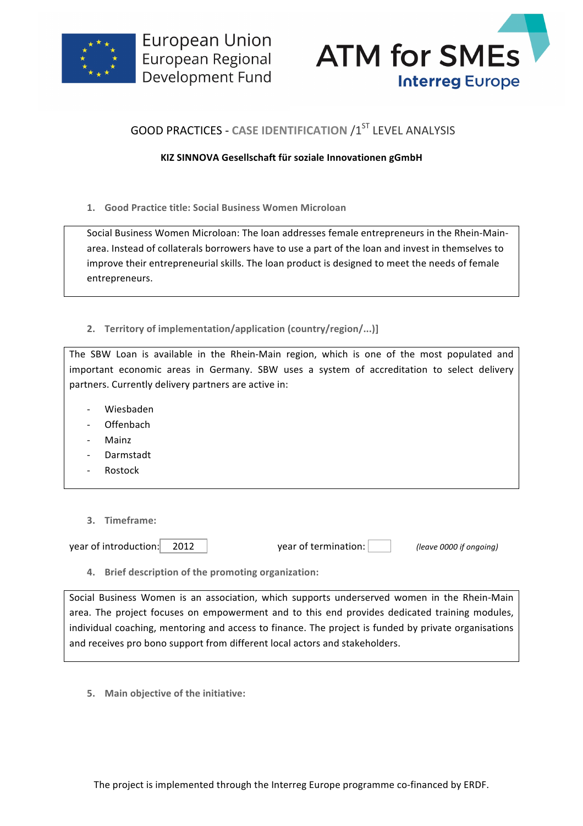



## **GOOD PRACTICES - CASE IDENTIFICATION /1ST LEVEL ANALYSIS**

## **KIZ SINNOVA Gesellschaft für soziale Innovationen gGmbH**

**1. Good Practice title: Social Business Women Microloan**

Social Business Women Microloan: The loan addresses female entrepreneurs in the Rhein-Mainarea. Instead of collaterals borrowers have to use a part of the loan and invest in themselves to improve their entrepreneurial skills. The loan product is designed to meet the needs of female entrepreneurs. 

2. **Territory of implementation/application (country/region/...)]** 

The SBW Loan is available in the Rhein-Main region, which is one of the most populated and important economic areas in Germany. SBW uses a system of accreditation to select delivery partners. Currently delivery partners are active in:

- Wiesbaden
- **Offenbach**
- **Mainz**
- Darmstadt
- **Rostock**
- **3. Timeframe:**

year of introduction: 2012 <br> year of termination: *(leave 0000 if ongoing)* 

**4.** Brief description of the promoting organization:

Social Business Women is an association, which supports underserved women in the Rhein-Main area. The project focuses on empowerment and to this end provides dedicated training modules, individual coaching, mentoring and access to finance. The project is funded by private organisations and receives pro bono support from different local actors and stakeholders.

**5. Main objective of the initiative:**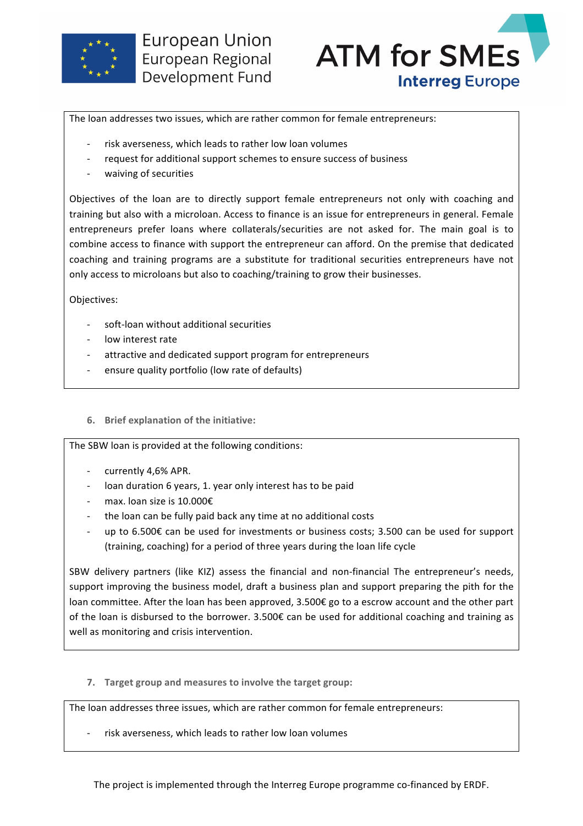



The loan addresses two issues, which are rather common for female entrepreneurs:

- risk averseness, which leads to rather low loan volumes
- request for additional support schemes to ensure success of business
- waiving of securities

Objectives of the loan are to directly support female entrepreneurs not only with coaching and training but also with a microloan. Access to finance is an issue for entrepreneurs in general. Female entrepreneurs prefer loans where collaterals/securities are not asked for. The main goal is to combine access to finance with support the entrepreneur can afford. On the premise that dedicated coaching and training programs are a substitute for traditional securities entrepreneurs have not only access to microloans but also to coaching/training to grow their businesses.

Objectives:

- soft-loan without additional securities
- low interest rate
- attractive and dedicated support program for entrepreneurs
- ensure quality portfolio (low rate of defaults)
- **6.** Brief explanation of the initiative:

The SBW loan is provided at the following conditions:

- currently 4,6% APR.
- loan duration 6 years, 1. year only interest has to be paid
- max. loan size is 10.000 $\epsilon$
- the loan can be fully paid back any time at no additional costs
- up to  $6.500\epsilon$  can be used for investments or business costs; 3.500 can be used for support (training, coaching) for a period of three years during the loan life cycle

SBW delivery partners (like KIZ) assess the financial and non-financial The entrepreneur's needs, support improving the business model, draft a business plan and support preparing the pith for the loan committee. After the loan has been approved, 3.500€ go to a escrow account and the other part of the loan is disbursed to the borrower.  $3.500\epsilon$  can be used for additional coaching and training as well as monitoring and crisis intervention.

**7. Target group and measures to involve the target group:** 

The loan addresses three issues, which are rather common for female entrepreneurs:

risk averseness, which leads to rather low loan volumes

The project is implemented through the Interreg Europe programme co-financed by ERDF.